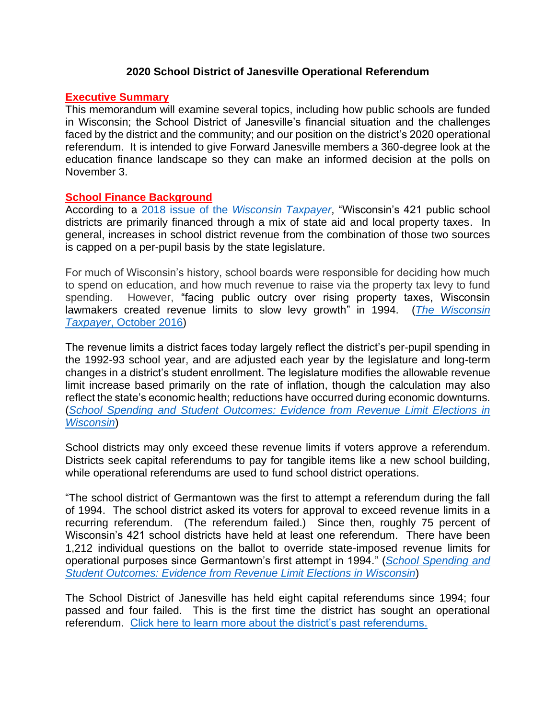## **2020 School District of Janesville Operational Referendum**

## **Executive Summary**

This memorandum will examine several topics, including how public schools are funded in Wisconsin; the School District of Janesville's financial situation and the challenges faced by the district and the community; and our position on the district's 2020 operational referendum. It is intended to give Forward Janesville members a 360-degree look at the education finance landscape so they can make an informed decision at the polls on November 3.

### **School Finance Background**

According to a 2018 issue of the *[Wisconsin Taxpayer](https://wispolicyforum.org/wp-content/uploads/2018/10/Taxpayer_18_8.pdf)*, "Wisconsin's 421 public school districts are primarily financed through a mix of state aid and local property taxes. In general, increases in school district revenue from the combination of those two sources is capped on a per-pupil basis by the state legislature.

For much of Wisconsin's history, school boards were responsible for deciding how much to spend on education, and how much revenue to raise via the property tax levy to fund spending. However, "facing public outcry over rising property taxes, Wisconsin lawmakers created revenue limits to slow levy growth" in 1994. (*[The Wisconsin](https://wispolicyforum.org/wp-content/uploads/2016/10/1610_Schools.pdf)  Taxpayer*[, October 2016\)](https://wispolicyforum.org/wp-content/uploads/2016/10/1610_Schools.pdf)

The revenue limits a district faces today largely reflect the district's per-pupil spending in the 1992-93 school year, and are adjusted each year by the legislature and long-term changes in a district's student enrollment. The legislature modifies the allowable revenue limit increase based primarily on the rate of inflation, though the calculation may also reflect the state's economic health; reductions have occurred during economic downturns. (*[School Spending and Student Outcomes: Evidence from Revenue Limit Elections in](https://ntanet.org/wp-content/uploads/2020/02/Jason-Baron-Session1557_Paper3356_FullPaper_1.pdf)  [Wisconsin](https://ntanet.org/wp-content/uploads/2020/02/Jason-Baron-Session1557_Paper3356_FullPaper_1.pdf)*)

School districts may only exceed these revenue limits if voters approve a referendum. Districts seek capital referendums to pay for tangible items like a new school building, while operational referendums are used to fund school district operations.

"The school district of Germantown was the first to attempt a referendum during the fall of 1994. The school district asked its voters for approval to exceed revenue limits in a recurring referendum. (The referendum failed.) Since then, roughly 75 percent of Wisconsin's 421 school districts have held at least one referendum. There have been 1,212 individual questions on the ballot to override state-imposed revenue limits for operational purposes since Germantown's first attempt in 1994." (*[School Spending and](https://ntanet.org/wp-content/uploads/2020/02/Jason-Baron-Session1557_Paper3356_FullPaper_1.pdf)  [Student Outcomes: Evidence from Revenue Limit Elections in Wisconsin](https://ntanet.org/wp-content/uploads/2020/02/Jason-Baron-Session1557_Paper3356_FullPaper_1.pdf)*)

The School District of Janesville has held eight capital referendums since 1994; four passed and four failed. This is the first time the district has sought an operational referendum. [Click here to learn more about the district's past referendums.](file:///C:/Users/fj.dan.cunningham/Downloads/wcdzckqck4o01c2yxhbnmapj1012020105630AM.pdf)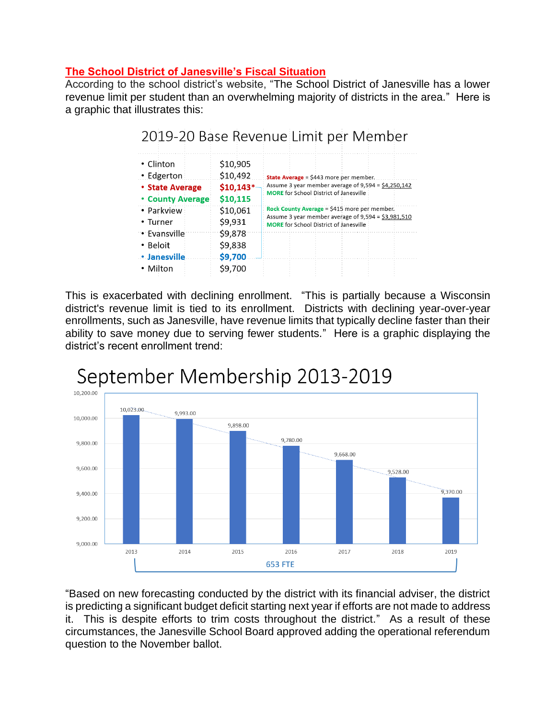# **The School District of Janesville's Fiscal Situation**

According to the school district's website, "The School District of Janesville has a lower revenue limit per student than an overwhelming majority of districts in the area." Here is a graphic that illustrates this:

2019-20 Base Revenue Limit per Member

| • Clinton                                         | \$10,905               |                                                                                                                                                      |  |  |
|---------------------------------------------------|------------------------|------------------------------------------------------------------------------------------------------------------------------------------------------|--|--|
| • Edgerton                                        | \$10,492               | <b>State Average</b> = \$443 more per member.                                                                                                        |  |  |
| <b>• State Average</b><br><b>• County Average</b> | $$10,143*$<br>\$10,115 | Assume 3 year member average of 9,594 = \$4,250,142<br><b>MORE</b> for School District of Janesville                                                 |  |  |
| • Parkview<br>• Turner                            | \$10,061<br>\$9,931    | Rock County Average = \$415 more per member.<br>Assume 3 year member average of 9,594 = \$3,981,510<br><b>MORE</b> for School District of Janesville |  |  |
| • Evansville                                      | \$9,878                |                                                                                                                                                      |  |  |
| • Beloit                                          | \$9,838                |                                                                                                                                                      |  |  |
|                                                   |                        |                                                                                                                                                      |  |  |
| <b>• Janesville</b>                               | \$9,700                |                                                                                                                                                      |  |  |

# This is exacerbated with declining enrollment. "This is partially because a Wisconsin district's revenue limit is tied to its enrollment. Districts with declining year-over-year enrollments, such as Janesville, have revenue limits that typically decline faster than their ability to save money due to serving fewer students." Here is a graphic displaying the district's recent enrollment trend:



# September Membership 2013-2019

"Based on new forecasting conducted by the district with its financial adviser, the district is predicting a significant budget deficit starting next year if efforts are not made to address it. This is despite efforts to trim costs throughout the district." As a result of these circumstances, the Janesville School Board approved adding the operational referendum question to the November ballot.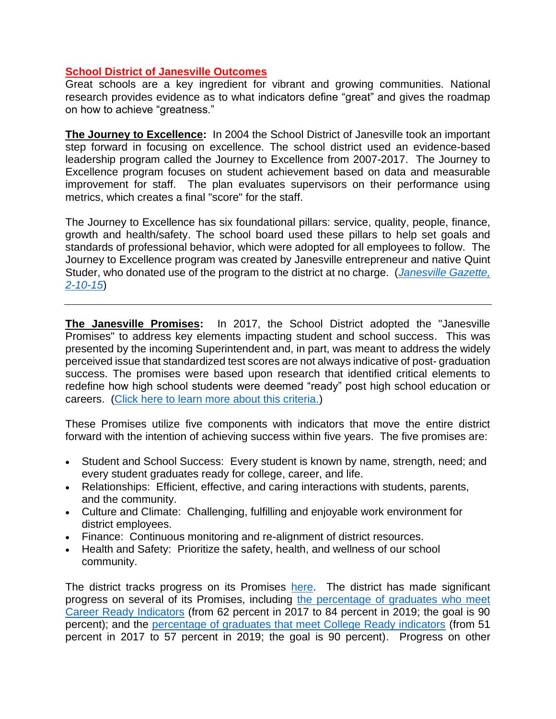# **School District of Janesville Outcomes**

Great schools are a key ingredient for vibrant and growing communities. National research provides evidence as to what indicators define "great" and gives the roadmap on how to achieve "greatness."

**The Journey to Excellence:** In 2004 the School District of Janesville took an important step forward in focusing on excellence. The school district used an evidence-based leadership program called the Journey to Excellence from 2007-2017. The Journey to Excellence program focuses on student achievement based on data and measurable improvement for staff. The plan evaluates supervisors on their performance using metrics, which creates a final "score" for the staff.

The Journey to Excellence has six foundational pillars: service, quality, people, finance, growth and health/safety. The school board used these pillars to help set goals and standards of professional behavior, which were adopted for all employees to follow. The Journey to Excellence program was created by Janesville entrepreneur and native Quint Studer, who donated use of the program to the district at no charge. (*[Janesville Gazette,](https://www.gazettextra.com/archives/superintendent-sale-of-studer-group-wont-derail-journey-to-excellence/article_ab8601c9-1cf2-5d3d-9cc6-1ffd626c82bd.html)  [2-10-15](https://www.gazettextra.com/archives/superintendent-sale-of-studer-group-wont-derail-journey-to-excellence/article_ab8601c9-1cf2-5d3d-9cc6-1ffd626c82bd.html)*)

**The Janesville Promises:** In 2017, the School District adopted the "Janesville Promises" to address key elements impacting student and school success. This was presented by the incoming Superintendent and, in part, was meant to address the widely perceived issue that standardized test scores are not always indicative of post- graduation success. The promises were based upon research that identified critical elements to redefine how high school students were deemed "ready" post high school education or careers. [\(Click here to learn more about this criteria.\)](https://www.redefiningready.org/)

These Promises utilize five components with indicators that move the entire district forward with the intention of achieving success within five years. The five promises are:

- Student and School Success: Every student is known by name, strength, need; and every student graduates ready for college, career, and life.
- Relationships: Efficient, effective, and caring interactions with students, parents, and the community.
- Culture and Climate: Challenging, fulfilling and enjoyable work environment for district employees.
- Finance: Continuous monitoring and re-alignment of district resources.
- Health and Safety: Prioritize the safety, health, and wellness of our school community.

The district tracks progress on its Promises [here.](https://ecriss.ecragroup.com/strategy/Home/Indicators?Building=16538&Dashboard=SCH006) The district has made significant progress on several of its Promises, including [the percentage of graduates who meet](https://ecriss.ecragroup.com/strategy/Home/Chart?ID=120780&Dashboard=SCH006)  [Career Ready Indicators](https://ecriss.ecragroup.com/strategy/Home/Chart?ID=120780&Dashboard=SCH006) (from 62 percent in 2017 to 84 percent in 2019; the goal is 90 percent); and the [percentage of graduates that meet College Ready indicators](https://ecriss.ecragroup.com/strategy/Home/Chart?ID=115805&Dashboard=SCH006) (from 51 percent in 2017 to 57 percent in 2019; the goal is 90 percent). Progress on other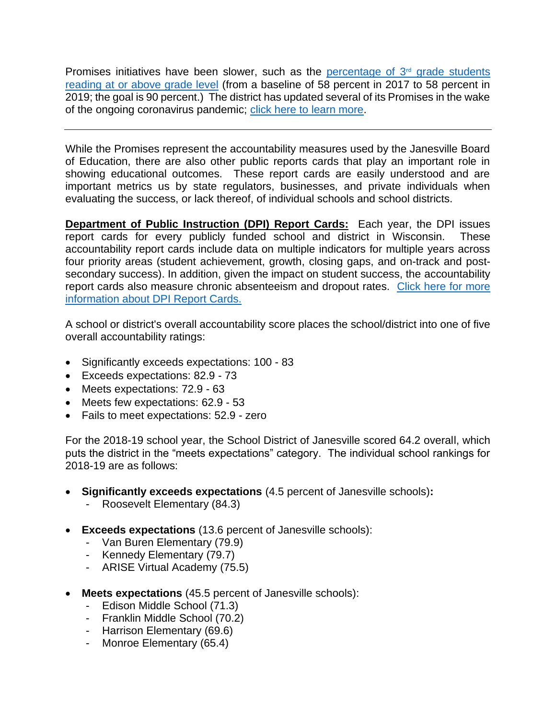Promises initiatives have been slower, such as the percentage of  $3<sup>rd</sup>$  grade students [reading at or above grade level](https://ecriss.ecragroup.com/strategy/Home/Chart?ID=119262&Dashboard=SCH006) (from a baseline of 58 percent in 2017 to 58 percent in 2019; the goal is 90 percent.) The district has updated several of its Promises in the wake of the ongoing coronavirus pandemic; [click here to learn more.](https://www.gazettextra.com/news/education/janesville-school-district-updates-promises-amid-pandemic/article_5abd80ad-a2ab-5544-821a-ce864afc6d7c.html)

While the Promises represent the accountability measures used by the Janesville Board of Education, there are also other public reports cards that play an important role in showing educational outcomes. These report cards are easily understood and are important metrics us by state regulators, businesses, and private individuals when evaluating the success, or lack thereof, of individual schools and school districts.

**Department of Public Instruction (DPI) Report Cards:** Each year, the DPI issues report cards for every publicly funded school and district in Wisconsin. These accountability report cards include data on multiple indicators for multiple years across four priority areas (student achievement, growth, closing gaps, and on-track and postsecondary success). In addition, given the impact on student success, the accountability report cards also measure chronic absenteeism and dropout rates. [Click here for more](https://dpi.wi.gov/accountability/report-cards)  [information about DPI Report Cards.](https://dpi.wi.gov/accountability/report-cards)

A school or district's overall accountability score places the school/district into one of five overall accountability ratings:

- Significantly exceeds expectations: 100 83
- Exceeds expectations: 82.9 73
- Meets expectations: 72.9 63
- Meets few expectations: 62.9 53
- Fails to meet expectations: 52.9 zero

For the 2018-19 school year, the School District of Janesville scored 64.2 overall, which puts the district in the "meets expectations" category. The individual school rankings for 2018-19 are as follows:

- **Significantly exceeds expectations** (4.5 percent of Janesville schools)**:**
	- Roosevelt Elementary (84.3)
- **Exceeds expectations** (13.6 percent of Janesville schools):
	- Van Buren Elementary (79.9)
	- Kennedy Elementary (79.7)
	- ARISE Virtual Academy (75.5)
- **Meets expectations** (45.5 percent of Janesville schools):
	- Edison Middle School (71.3)
	- Franklin Middle School (70.2)
	- Harrison Elementary (69.6)
	- Monroe Elementary (65.4)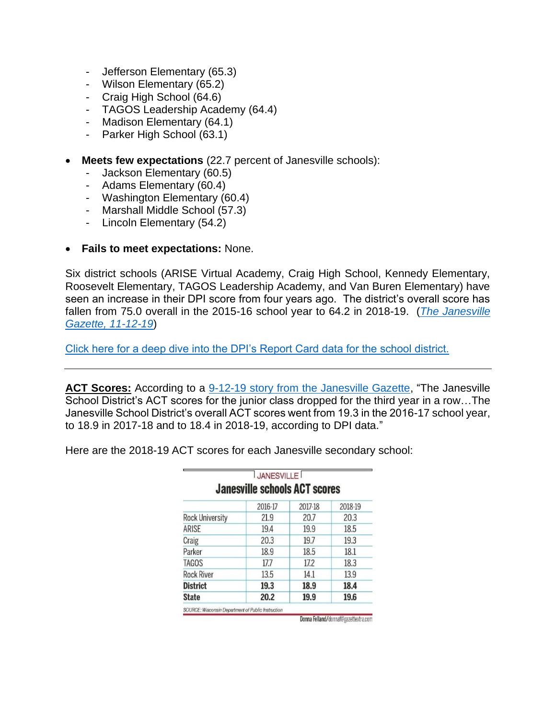- Jefferson Elementary (65.3)
- Wilson Elementary (65.2)
- Craig High School (64.6)
- TAGOS Leadership Academy (64.4)
- Madison Elementary (64.1)
- Parker High School (63.1)
- **Meets few expectations** (22.7 percent of Janesville schools):
	- Jackson Elementary (60.5)
	- Adams Elementary (60.4)
	- Washington Elementary (60.4)
	- Marshall Middle School (57.3)
	- Lincoln Elementary (54.2)

### • **Fails to meet expectations:** None.

Six district schools (ARISE Virtual Academy, Craig High School, Kennedy Elementary, Roosevelt Elementary, TAGOS Leadership Academy, and Van Buren Elementary) have seen an increase in their DPI score from four years ago. The district's overall score has fallen from 75.0 overall in the 2015-16 school year to 64.2 in 2018-19. (*[The Janesville](https://www.gazettextra.com/news/education/two-thirds-of-janesville-schools-get-worse-report-cards/article_a34c5b52-3c8f-53f5-a7ad-756d6e7790ff.html)  [Gazette, 11-12-19](https://www.gazettextra.com/news/education/two-thirds-of-janesville-schools-get-worse-report-cards/article_a34c5b52-3c8f-53f5-a7ad-756d6e7790ff.html)*)

[Click here for a deep dive into the DPI's Report Card data for the school district.](file:///C:/Users/fj.dan.cunningham/Downloads/DRCDetail_Public_Janesville_2018-19_6597.PDF)

ACT Scores: According to a [9-12-19 story from the Janesville Gazette,](https://www.gazettextra.com/news/local/janesville-school-test-scores-drop-again/article_b92beb5a-cf0d-5f79-8640-5f14fff47891.html) "The Janesville School District's ACT scores for the junior class dropped for the third year in a row…The Janesville School District's overall ACT scores went from 19.3 in the 2016-17 school year, to 18.9 in 2017-18 and to 18.4 in 2018-19, according to DPI data."

|                                      | <b>JANESVILLE</b> |         |         |  |  |
|--------------------------------------|-------------------|---------|---------|--|--|
| <b>Janesville schools ACT scores</b> |                   |         |         |  |  |
|                                      | 2016-17           | 2017-18 | 2018-19 |  |  |
| <b>Rock University</b>               | 21.9              | 20.7    | 20.3    |  |  |
| ARISE                                | 19.4              | 19.9    | 18.5    |  |  |
| Craig                                | 20.3              | 19.7    | 19.3    |  |  |
| Parker                               | 18.9              | 18.5    | 18.1    |  |  |
| <b>TAGOS</b>                         | 17.7              | 17.2    | 18.3    |  |  |
| <b>Rock River</b>                    | 13.5              | 14.1    | 13.9    |  |  |
| <b>District</b>                      | 19.3              | 18.9    | 18.4    |  |  |
| <b>State</b>                         | 20.2              | 19.9    | 19.6    |  |  |

Here are the 2018-19 ACT scores for each Janesville secondary school:

Donna Felland/donnaf@gazettextra.com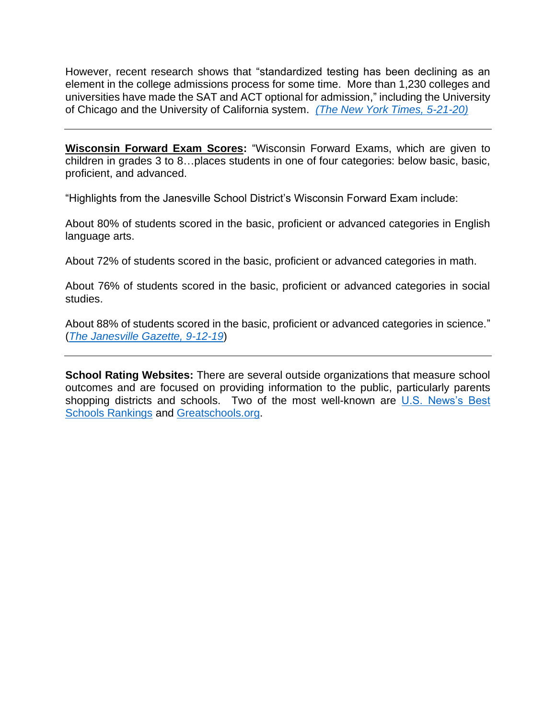However, recent research shows that "standardized testing has been declining as an element in the college admissions process for some time. More than 1,230 colleges and universities have made the SAT and ACT optional for admission," including the University of Chicago and the University of California system. *[\(The New York Times, 5-21-20\)](https://www.nytimes.com/2020/05/21/us/university-california-sat-act.html)* 

**Wisconsin Forward Exam Scores:** "Wisconsin Forward Exams, which are given to children in grades 3 to 8…places students in one of four categories: below basic, basic, proficient, and advanced.

"Highlights from the Janesville School District's Wisconsin Forward Exam include:

About 80% of students scored in the basic, proficient or advanced categories in English language arts.

About 72% of students scored in the basic, proficient or advanced categories in math.

About 76% of students scored in the basic, proficient or advanced categories in social studies.

About 88% of students scored in the basic, proficient or advanced categories in science." (*[The Janesville Gazette, 9-12-19](https://www.gazettextra.com/news/local/janesville-school-test-scores-drop-again/article_b92beb5a-cf0d-5f79-8640-5f14fff47891.html)*)

**School Rating Websites:** There are several outside organizations that measure school outcomes and are focused on providing information to the public, particularly parents shopping districts and schools. Two of the most well-known are [U.S. News's Best](https://www.usnews.com/education/best-high-schools/rankings-overview)  [Schools Rankings](https://www.usnews.com/education/best-high-schools/rankings-overview) and [Greatschools.org.](https://www.greatschools.org/)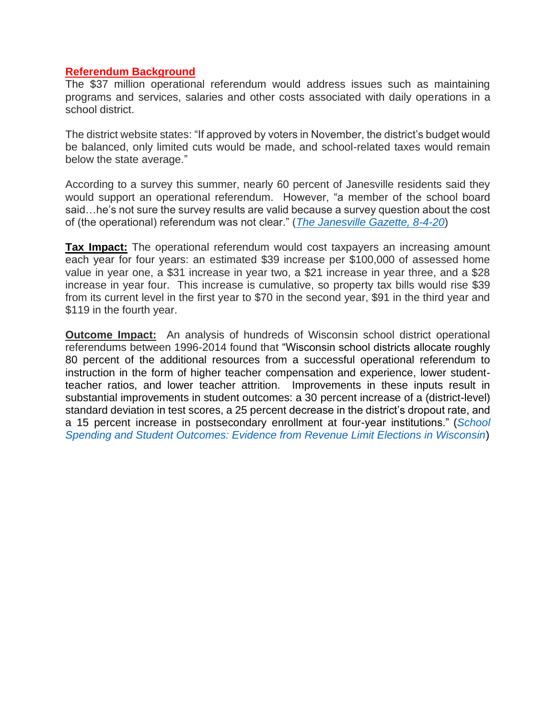#### **Referendum Background**

The \$37 million operational referendum would address issues such as maintaining programs and services, salaries and other costs associated with daily operations in a school district.

The district website states: "If approved by voters in November, the district's budget would be balanced, only limited cuts would be made, and school-related taxes would remain below the state average."

According to a survey this summer, nearly 60 percent of Janesville residents said they would support an operational referendum. However, "a member of the school board said…he's not sure the survey results are valid because a survey question about the cost of (the operational) referendum was not clear." (*[The Janesville Gazette, 8-4-20](https://www.gazettextra.com/news/education/survey-shows-support-for-janesville-school-referendums/article_4548b9f7-e5e7-5306-9adc-3b74a96e8dd6.html)*)

**Tax Impact:** The operational referendum would cost taxpayers an increasing amount each year for four years: an estimated \$39 increase per \$100,000 of assessed home value in year one, a \$31 increase in year two, a \$21 increase in year three, and a \$28 increase in year four. This increase is cumulative, so property tax bills would rise \$39 from its current level in the first year to \$70 in the second year, \$91 in the third year and \$119 in the fourth year.

**Outcome Impact:** An analysis of hundreds of Wisconsin school district operational referendums between 1996-2014 found that "Wisconsin school districts allocate roughly 80 percent of the additional resources from a successful operational referendum to instruction in the form of higher teacher compensation and experience, lower studentteacher ratios, and lower teacher attrition. Improvements in these inputs result in substantial improvements in student outcomes: a 30 percent increase of a (district-level) standard deviation in test scores, a 25 percent decrease in the district's dropout rate, and a 15 percent increase in postsecondary enrollment at four-year institutions." (*[School](https://ntanet.org/wp-content/uploads/2020/02/Jason-Baron-Session1557_Paper3356_FullPaper_1.pdf)  [Spending and Student Outcomes: Evidence from Revenue Limit Elections in Wisconsin](https://ntanet.org/wp-content/uploads/2020/02/Jason-Baron-Session1557_Paper3356_FullPaper_1.pdf)*)